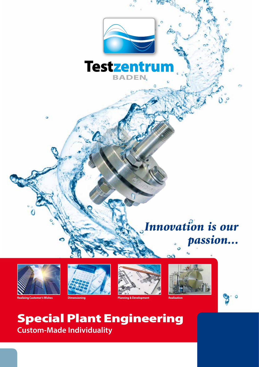

## Special Plant Engineering **Custom-Made Individuality**